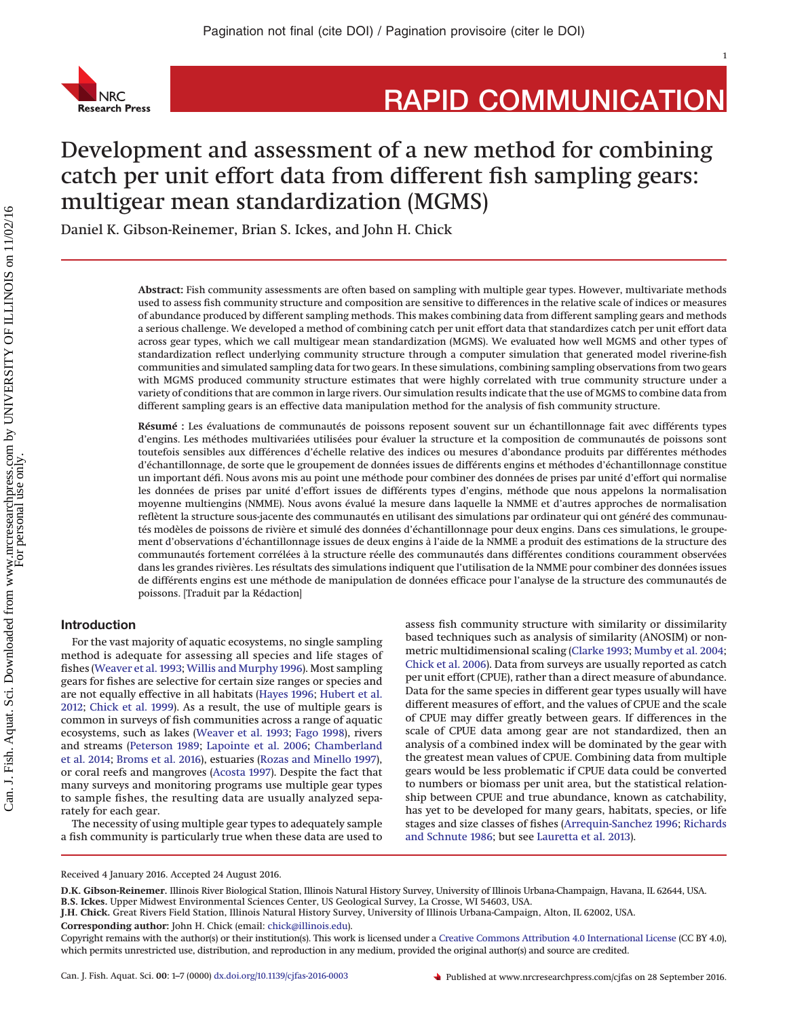

# **RAPID COMMUNICATION**

# Development and assessment of a new method for combining catch per unit effort data from different fish sampling gears: multigear mean standardization (MGMS)

Daniel K. Gibson-Reinemer, Brian S. Ickes, and John H. Chick

**Abstract:** Fish community assessments are often based on sampling with multiple gear types. However, multivariate methods used to assess fish community structure and composition are sensitive to differences in the relative scale of indices or measures of abundance produced by different sampling methods. This makes combining data from different sampling gears and methods a serious challenge. We developed a method of combining catch per unit effort data that standardizes catch per unit effort data across gear types, which we call multigear mean standardization (MGMS). We evaluated how well MGMS and other types of standardization reflect underlying community structure through a computer simulation that generated model riverine-fish communities and simulated sampling data for two gears. In these simulations, combining sampling observations from two gears with MGMS produced community structure estimates that were highly correlated with true community structure under a variety of conditions that are common in large rivers. Our simulation results indicate that the use of MGMS to combine data from different sampling gears is an effective data manipulation method for the analysis of fish community structure.

**Résumé :** Les évaluations de communautés de poissons reposent souvent sur un échantillonnage fait avec différents types d'engins. Les méthodes multivariées utilisées pour évaluer la structure et la composition de communautés de poissons sont toutefois sensibles aux différences d'échelle relative des indices ou mesures d'abondance produits par différentes méthodes d'échantillonnage, de sorte que le groupement de données issues de différents engins et méthodes d'échantillonnage constitue un important défi. Nous avons mis au point une méthode pour combiner des données de prises par unité d'effort qui normalise les données de prises par unité d'effort issues de différents types d'engins, méthode que nous appelons la normalisation moyenne multiengins (NMME). Nous avons évalué la mesure dans laquelle la NMME et d'autres approches de normalisation reflètent la structure sous-jacente des communautés en utilisant des simulations par ordinateur qui ont généré des communautés modèles de poissons de rivière et simulé des données d'échantillonnage pour deux engins. Dans ces simulations, le groupement d'observations d'échantillonnage issues de deux engins a` l'aide de la NMME a produit des estimations de la structure des communautés fortement corrélées a` la structure réelle des communautés dans différentes conditions couramment observées dans les grandes rivières. Les résultats des simulations indiquent que l'utilisation de la NMME pour combiner des données issues de différents engins est une méthode de manipulation de données efficace pour l'analyse de la structure des communautés de poissons. [Traduit par la Rédaction]

# **Introduction**

For the vast majority of aquatic ecosystems, no single sampling method is adequate for assessing all species and life stages of fishes [\(Weaver et al. 1993;](#page-6-0) [Willis and Murphy 1996\)](#page-6-1). Most sampling gears for fishes are selective for certain size ranges or species and are not equally effective in all habitats [\(Hayes 1996;](#page-5-0) [Hubert et al.](#page-6-2) [2012;](#page-6-2) [Chick et al. 1999\)](#page-5-1). As a result, the use of multiple gears is common in surveys of fish communities across a range of aquatic ecosystems, such as lakes [\(Weaver et al. 1993;](#page-6-0) [Fago 1998\)](#page-5-2), rivers and streams [\(Peterson 1989;](#page-6-3) [Lapointe et al. 2006;](#page-6-4) [Chamberland](#page-5-3) [et al. 2014;](#page-5-3) [Broms et al. 2016\)](#page-5-4), estuaries [\(Rozas and Minello 1997\)](#page-6-5), or coral reefs and mangroves [\(Acosta 1997\)](#page-5-5). Despite the fact that many surveys and monitoring programs use multiple gear types to sample fishes, the resulting data are usually analyzed separately for each gear.

The necessity of using multiple gear types to adequately sample a fish community is particularly true when these data are used to assess fish community structure with similarity or dissimilarity based techniques such as analysis of similarity (ANOSIM) or nonmetric multidimensional scaling [\(Clarke 1993;](#page-5-6) [Mumby et al. 2004;](#page-6-6) [Chick et al. 2006\)](#page-5-7). Data from surveys are usually reported as catch per unit effort (CPUE), rather than a direct measure of abundance. Data for the same species in different gear types usually will have different measures of effort, and the values of CPUE and the scale of CPUE may differ greatly between gears. If differences in the scale of CPUE data among gear are not standardized, then an analysis of a combined index will be dominated by the gear with the greatest mean values of CPUE. Combining data from multiple gears would be less problematic if CPUE data could be converted to numbers or biomass per unit area, but the statistical relationship between CPUE and true abundance, known as catchability, has yet to be developed for many gears, habitats, species, or life stages and size classes of fishes [\(Arrequin-Sanchez 1996;](#page-5-8) [Richards](#page-6-7) [and Schnute 1986;](#page-6-7) but see [Lauretta et al. 2013\)](#page-6-8).

**J.H. Chick.** Great Rivers Field Station, Illinois Natural History Survey, University of Illinois Urbana-Campaign, Alton, IL 62002, USA.

**Corresponding author:** John H. Chick (email: [chick@illinois.edu\)](mailto:chick@illinois.edu).

Received 4 January 2016. Accepted 24 August 2016.

**D.K. Gibson-Reinemer.** Illinois River Biological Station, Illinois Natural History Survey, University of Illinois Urbana-Champaign, Havana, IL 62644, USA. **B.S. Ickes.** Upper Midwest Environmental Sciences Center, US Geological Survey, La Crosse, WI 54603, USA.

Copyright remains with the author(s) or their institution(s). This work is licensed under a [Creative Commons Attribution 4.0 International License](http://creativecommons.org/licenses/by/4.0/) (CC BY 4.0), which permits unrestricted use, distribution, and reproduction in any medium, provided the original author(s) and source are credited.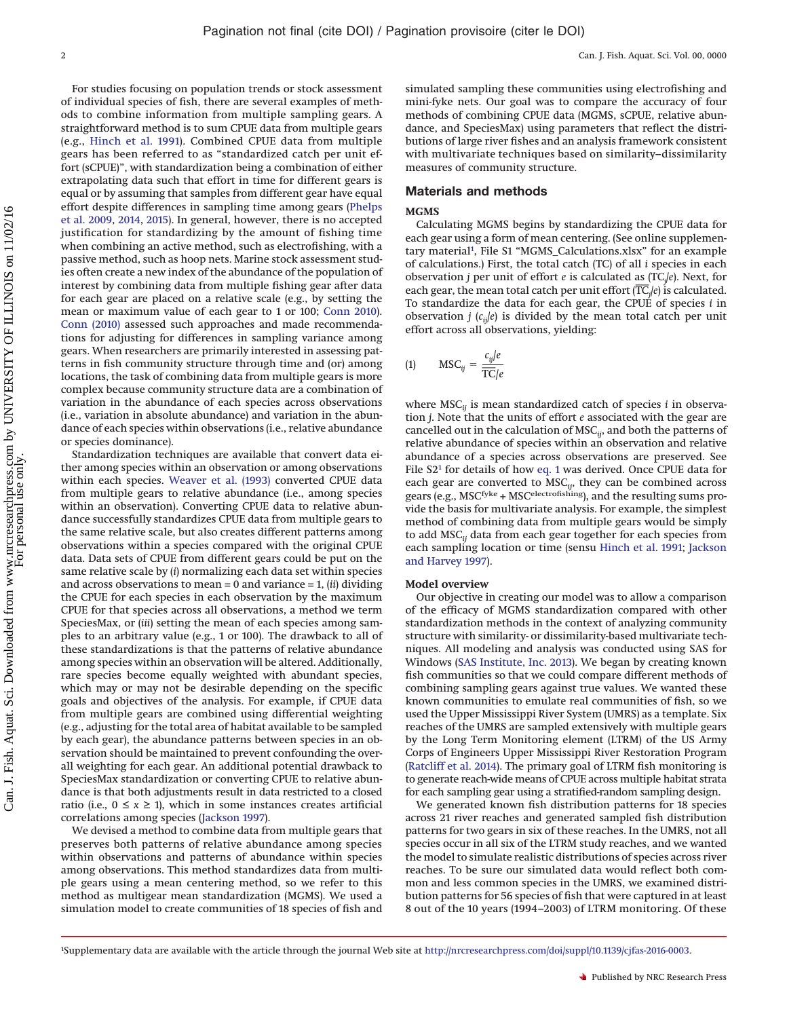For studies focusing on population trends or stock assessment of individual species of fish, there are several examples of methods to combine information from multiple sampling gears. A straightforward method is to sum CPUE data from multiple gears (e.g., [Hinch et al. 1991\)](#page-5-9). Combined CPUE data from multiple gears has been referred to as "standardized catch per unit effort (sCPUE)", with standardization being a combination of either extrapolating data such that effort in time for different gears is equal or by assuming that samples from different gear have equal effort despite differences in sampling time among gears [\(Phelps](#page-6-9) [et al. 2009,](#page-6-9) [2014,](#page-6-10) [2015\)](#page-6-11). In general, however, there is no accepted justification for standardizing by the amount of fishing time when combining an active method, such as electrofishing, with a passive method, such as hoop nets. Marine stock assessment studies often create a new index of the abundance of the population of interest by combining data from multiple fishing gear after data for each gear are placed on a relative scale (e.g., by setting the mean or maximum value of each gear to 1 or 100; [Conn 2010\)](#page-5-10). [Conn \(2010\)](#page-5-10) assessed such approaches and made recommendations for adjusting for differences in sampling variance among gears. When researchers are primarily interested in assessing patterns in fish community structure through time and (or) among locations, the task of combining data from multiple gears is more complex because community structure data are a combination of variation in the abundance of each species across observations (i.e., variation in absolute abundance) and variation in the abundance of each species within observations (i.e., relative abundance or species dominance).

Standardization techniques are available that convert data either among species within an observation or among observations within each species. [Weaver et al. \(1993\)](#page-6-0) converted CPUE data from multiple gears to relative abundance (i.e., among species within an observation). Converting CPUE data to relative abundance successfully standardizes CPUE data from multiple gears to the same relative scale, but also creates different patterns among observations within a species compared with the original CPUE data. Data sets of CPUE from different gears could be put on the same relative scale by (*i*) normalizing each data set within species and across observations to mean = 0 and variance = 1, (*ii*) dividing the CPUE for each species in each observation by the maximum CPUE for that species across all observations, a method we term SpeciesMax, or (*iii*) setting the mean of each species among samples to an arbitrary value (e.g., 1 or 100). The drawback to all of these standardizations is that the patterns of relative abundance among species within an observation will be altered. Additionally, rare species become equally weighted with abundant species, which may or may not be desirable depending on the specific goals and objectives of the analysis. For example, if CPUE data from multiple gears are combined using differential weighting (e.g., adjusting for the total area of habitat available to be sampled by each gear), the abundance patterns between species in an observation should be maintained to prevent confounding the overall weighting for each gear. An additional potential drawback to SpeciesMax standardization or converting CPUE to relative abundance is that both adjustments result in data restricted to a closed ratio (i.e.,  $0 \le x \ge 1$ ), which in some instances creates artificial correlations among species [\(Jackson 1997\)](#page-6-12).

We devised a method to combine data from multiple gears that preserves both patterns of relative abundance among species within observations and patterns of abundance within species among observations. This method standardizes data from multiple gears using a mean centering method, so we refer to this method as multigear mean standardization (MGMS). We used a simulation model to create communities of 18 species of fish and

simulated sampling these communities using electrofishing and mini-fyke nets. Our goal was to compare the accuracy of four methods of combining CPUE data (MGMS, sCPUE, relative abundance, and SpeciesMax) using parameters that reflect the distributions of large river fishes and an analysis framework consistent with multivariate techniques based on similarity–dissimilarity measures of community structure.

#### **Materials and methods**

#### **MGMS**

Calculating MGMS begins by standardizing the CPUE data for each gear using a form of mean centering. (See online supplementary material<sup>1</sup>, File S1 "MGMS\_Calculations.xlsx" for an example of calculations.) First, the total catch (TC) of all *i* species in each observation *j* per unit of effort *e* is calculated as (TC<sub>*j*</sub>/*e*). Next, for each gear, the mean total catch per unit effort ( $\overline{TC}_j$ /*e*) is observation *j* per unit of effort *e* is calculated as (TC*<sup>j</sup>* /*e*). Next, for *j* /*e*) is calculated. To standardize the data for each gear, the CPUE of species *i* in observation *j*  $(c_{ij}|e)$  is divided by the mean total catch per unit effort across all observations, yielding:

<span id="page-1-1"></span>
$$
(1) \qquad \text{MSC}_{ij} = \frac{c_{ij}/e}{\overline{\text{TC}}/e}
$$

where MSC*ij* is mean standardized catch of species *i* in observation *j*. Note that the units of effort *e* associated with the gear are cancelled out in the calculation of MSC*ij*, and both the patterns of relative abundance of species within an observation and relative abundance of a species across observations are preserved. See File S[21](#page-1-0) for details of how [eq. 1](#page-1-1) was derived. Once CPUE data for each gear are converted to MSC*ij*, they can be combined across gears (e.g., MSCfyke + MSCelectrofishing), and the resulting sums provide the basis for multivariate analysis. For example, the simplest method of combining data from multiple gears would be simply to add MSC*ij* data from each gear together for each species from each sampling location or time (sensu [Hinch et al. 1991;](#page-5-9) [Jackson](#page-6-13) [and Harvey 1997\)](#page-6-13).

#### **Model overview**

Our objective in creating our model was to allow a comparison of the efficacy of MGMS standardization compared with other standardization methods in the context of analyzing community structure with similarity- or dissimilarity-based multivariate techniques. All modeling and analysis was conducted using SAS for Windows [\(SAS Institute, Inc. 2013\)](#page-6-14). We began by creating known fish communities so that we could compare different methods of combining sampling gears against true values. We wanted these known communities to emulate real communities of fish, so we used the Upper Mississippi River System (UMRS) as a template. Six reaches of the UMRS are sampled extensively with multiple gears by the Long Term Monitoring element (LTRM) of the US Army Corps of Engineers Upper Mississippi River Restoration Program [\(Ratcliff et al. 2014\)](#page-6-15). The primary goal of LTRM fish monitoring is to generate reach-wide means of CPUE across multiple habitat strata for each sampling gear using a stratified-random sampling design.

We generated known fish distribution patterns for 18 species across 21 river reaches and generated sampled fish distribution patterns for two gears in six of these reaches. In the UMRS, not all species occur in all six of the LTRM study reaches, and we wanted the model to simulate realistic distributions of species across river reaches. To be sure our simulated data would reflect both common and less common species in the UMRS, we examined distribution patterns for 56 species of fish that were captured in at least 8 out of the 10 years (1994–2003) of LTRM monitoring. Of these

<span id="page-1-0"></span><sup>1</sup> Supplementary data are available with the article through the journal Web site at [http://nrcresearchpress.com/doi/suppl/10.1139/cjfas-2016-0003.](http://nrcresearchpress.com/doi/suppl/10.1139/cjfas-2016-0003)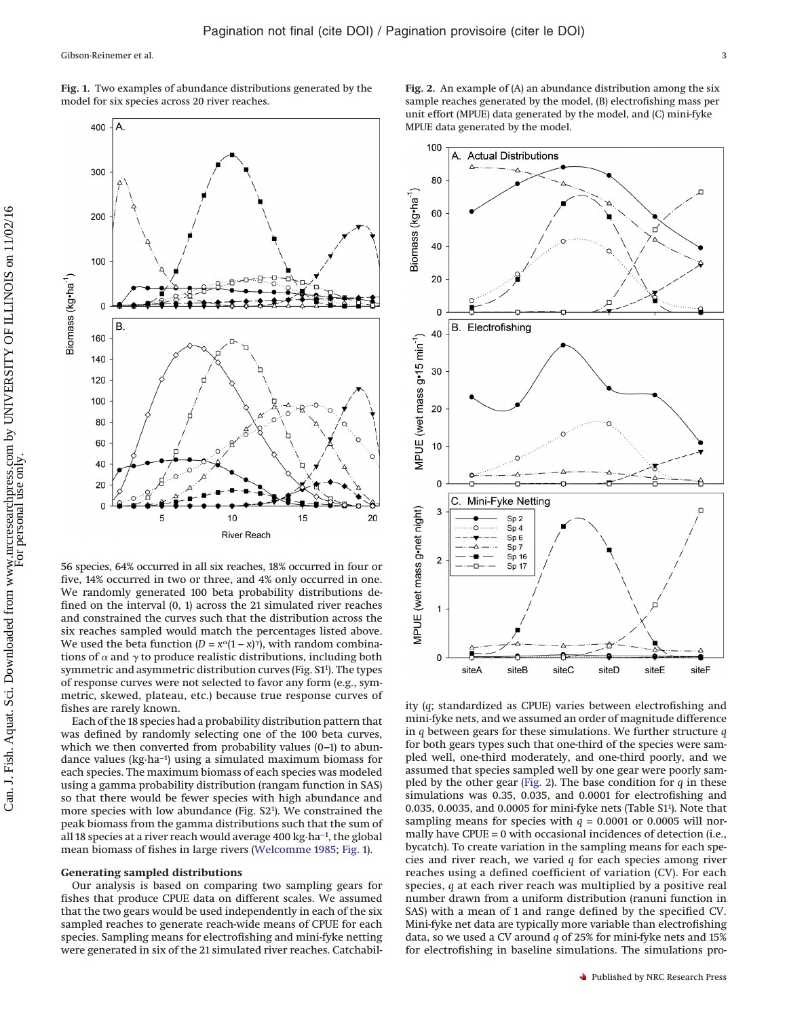56 species, 64% occurred in all six reaches, 18% occurred in four or five, 14% occurred in two or three, and 4% only occurred in one. We randomly generated 100 beta probability distributions defined on the interval (0, 1) across the 21 simulated river reaches and constrained the curves such that the distribution across the six reaches sampled would match the percentages listed above. We used the beta function  $(D = x^{\alpha}(1 - x)^{\gamma})$ , with random combinations of  $\alpha$  and  $\gamma$  to produce realistic distributions, including both symmetric and asymmetric distribution curves (Fig. S[11](#page-1-0) ). The types of response curves were not selected to favor any form (e.g., symmetric, skewed, plateau, etc.) because true response curves of fishes are rarely known.

Each of the 18 species had a probability distribution pattern that was defined by randomly selecting one of the 100 beta curves, which we then converted from probability values (0-1) to abundance values (kg·ha−1) using a simulated maximum biomass for each species. The maximum biomass of each species was modeled using a gamma probability distribution (rangam function in SAS) so that there would be fewer species with high abundance and more species with low abundance (Fig. S2<sup>1</sup>). We constrained the peak biomass from the gamma distributions such that the sum of all 18 species at a river reach would average 400 kg·ha−1, the global mean biomass of fishes in large rivers [\(Welcomme 1985;](#page-6-16) [Fig. 1\)](#page-2-0).

# **Generating sampled distributions**

Our analysis is based on comparing two sampling gears for fishes that produce CPUE data on different scales. We assumed that the two gears would be used independently in each of the six sampled reaches to generate reach-wide means of CPUE for each species. Sampling means for electrofishing and mini-fyke netting were generated in six of the 21 simulated river reaches. Catchabil<span id="page-2-1"></span>**Fig. 2.** An example of (A) an abundance distribution among the six sample reaches generated by the model, (B) electrofishing mass per unit effort (MPUE) data generated by the model, and (C) mini-fyke MPUE data generated by the model.

A. Actual Distributions

ity (*q*; standardized as CPUE) varies between electrofishing and mini-fyke nets, and we assumed an order of magnitude difference in *q* between gears for these simulations. We further structure *q* for both gears types such that one-third of the species were sampled well, one-third moderately, and one-third poorly, and we assumed that species sampled well by one gear were poorly sampled by the other gear [\(Fig. 2\)](#page-2-1). The base condition for *q* in these simulations was 0.35, 0.035, and 0.0001 for electrofishing and 0.035, 0.0035, and 0.0005 for mini-fyke nets (Table S[11](#page-1-0) ). Note that sampling means for species with *q* = 0.0001 or 0.0005 will normally have CPUE = 0 with occasional incidences of detection (i.e., bycatch). To create variation in the sampling means for each species and river reach, we varied *q* for each species among river reaches using a defined coefficient of variation (CV). For each species, *q* at each river reach was multiplied by a positive real number drawn from a uniform distribution (ranuni function in SAS) with a mean of 1 and range defined by the specified CV. Mini-fyke net data are typically more variable than electrofishing data, so we used a CV around *q* of 25% for mini-fyke nets and 15% for electrofishing in baseline simulations. The simulations pro-





<span id="page-2-0"></span>**Fig. 1.** Two examples of abundance distributions generated by the

model for six species across 20 river reaches.

100

80

60

40

20

Biomass (kg•ha<sup>-1</sup>)

Н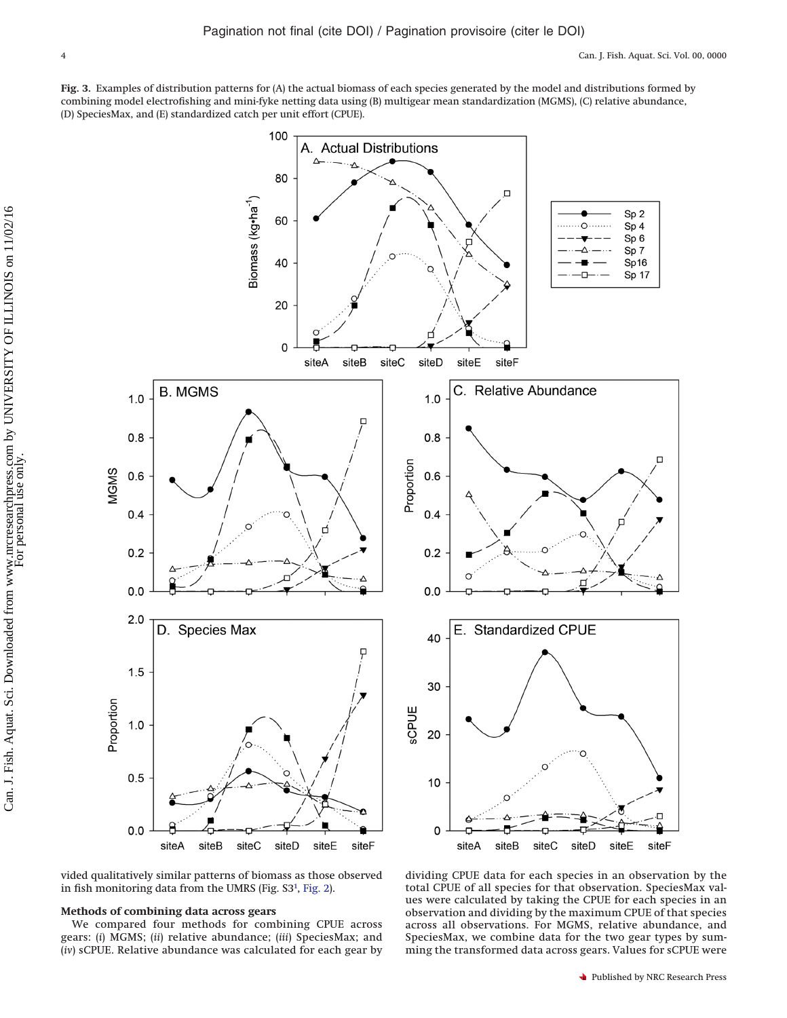<span id="page-3-0"></span>**Fig. 3.** Examples of distribution patterns for (A) the actual biomass of each species generated by the model and distributions formed by combining model electrofishing and mini-fyke netting data using (B) multigear mean standardization (MGMS), (C) relative abundance, (D) SpeciesMax, and (E) standardized catch per unit effort (CPUE).



vided qualitatively similar patterns of biomass as those observed in fish monitoring data from the UMRS (Fig. S3<sup>1</sup>, [Fig. 2\)](#page-2-1).

## **Methods of combining data across gears**

We compared four methods for combining CPUE across gears: (*i*) MGMS; (*ii*) relative abundance; (*iii*) SpeciesMax; and (*iv*) sCPUE. Relative abundance was calculated for each gear by

dividing CPUE data for each species in an observation by the total CPUE of all species for that observation. SpeciesMax values were calculated by taking the CPUE for each species in an observation and dividing by the maximum CPUE of that species across all observations. For MGMS, relative abundance, and SpeciesMax, we combine data for the two gear types by summing the transformed data across gears. Values for sCPUE were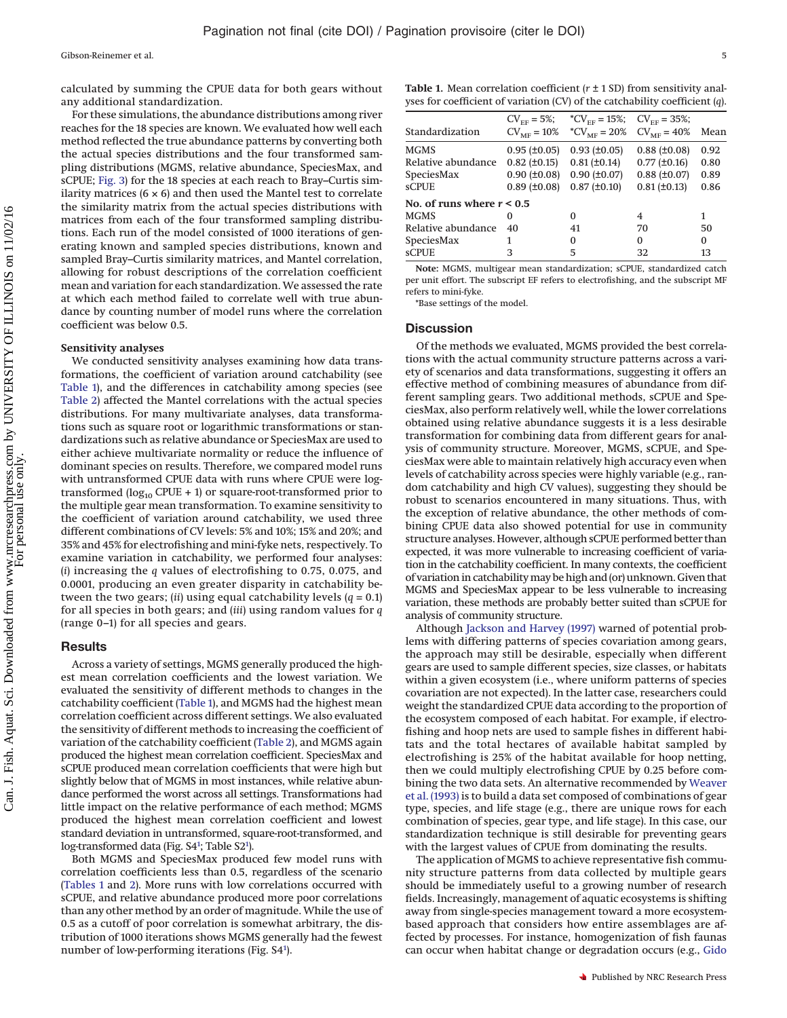calculated by summing the CPUE data for both gears without any additional standardization.

For these simulations, the abundance distributions among river reaches for the 18 species are known. We evaluated how well each method reflected the true abundance patterns by converting both the actual species distributions and the four transformed sampling distributions (MGMS, relative abundance, SpeciesMax, and sCPUE; [Fig. 3\)](#page-3-0) for the 18 species at each reach to Bray–Curtis similarity matrices  $(6 \times 6)$  and then used the Mantel test to correlate the similarity matrix from the actual species distributions with matrices from each of the four transformed sampling distributions. Each run of the model consisted of 1000 iterations of generating known and sampled species distributions, known and sampled Bray–Curtis similarity matrices, and Mantel correlation, allowing for robust descriptions of the correlation coefficient mean and variation for each standardization. We assessed the rate at which each method failed to correlate well with true abundance by counting number of model runs where the correlation coefficient was below 0.5.

#### **Sensitivity analyses**

We conducted sensitivity analyses examining how data transformations, the coefficient of variation around catchability (see [Table 1\)](#page-4-0), and the differences in catchability among species (see [Table 2\)](#page-5-11) affected the Mantel correlations with the actual species distributions. For many multivariate analyses, data transformations such as square root or logarithmic transformations or standardizations such as relative abundance or SpeciesMax are used to either achieve multivariate normality or reduce the influence of dominant species on results. Therefore, we compared model runs with untransformed CPUE data with runs where CPUE were logtransformed  $(log_{10}$  CPUE + 1) or square-root-transformed prior to the multiple gear mean transformation. To examine sensitivity to the coefficient of variation around catchability, we used three different combinations of CV levels: 5% and 10%; 15% and 20%; and 35% and 45% for electrofishing and mini-fyke nets, respectively. To examine variation in catchability, we performed four analyses: (*i*) increasing the *q* values of electrofishing to 0.75, 0.075, and 0.0001, producing an even greater disparity in catchability between the two gears; (*ii*) using equal catchability levels (*q* = 0.1) for all species in both gears; and (*iii*) using random values for *q* (range 0–1) for all species and gears.

#### **Results**

Across a variety of settings, MGMS generally produced the highest mean correlation coefficients and the lowest variation. We evaluated the sensitivity of different methods to changes in the catchability coefficient [\(Table 1\)](#page-4-0), and MGMS had the highest mean correlation coefficient across different settings. We also evaluated the sensitivity of different methods to increasing the coefficient of variation of the catchability coefficient [\(Table 2\)](#page-5-11), and MGMS again produced the highest mean correlation coefficient. SpeciesMax and sCPUE produced mean correlation coefficients that were high but slightly below that of MGMS in most instances, while relative abundance performed the worst across all settings. Transformations had little impact on the relative performance of each method; MGMS produced the highest mean correlation coefficient and lowest standard deviation in untransformed, square-root-transformed, and log-transformed data (Fig. S4<sup>1</sup>; Table S2<sup>1</sup>).

Both MGMS and SpeciesMax produced few model runs with correlation coefficients less than 0.5, regardless of the scenario [\(Tables 1](#page-4-0) and [2\)](#page-5-11). More runs with low correlations occurred with sCPUE, and relative abundance produced more poor correlations than any other method by an order of magnitude. While the use of 0.5 as a cutoff of poor correlation is somewhat arbitrary, the distribution of 1000 iterations shows MGMS generally had the fewest number of low-performing iterations (Fig. S4<sup>1</sup>).

<span id="page-4-0"></span>**Table 1.** Mean correlation coefficient (*r* ± 1 SD) from sensitivity analyses for coefficient of variation (CV) of the catchability coefficient (*q*).

|                             | $CV_{FF} = 5\%;$  | $^{\ast}CV_{\text{FF}} = 15\%;$ CV <sub>FF</sub> = 35%; |                       |      |
|-----------------------------|-------------------|---------------------------------------------------------|-----------------------|------|
| Standardization             | $CVME = 10\%$     | *CV <sub>ME</sub> = 20% CV <sub>ME</sub> = 40%          |                       | Mean |
| <b>MGMS</b>                 | $0.95 (\pm 0.05)$ | $0.93$ ( $\pm 0.05$ )                                   | $0.88 (\pm 0.08)$     | 0.92 |
| Relative abundance          | $0.82 (\pm 0.15)$ | $0.81 (\pm 0.14)$                                       | $0.77$ ( $\pm 0.16$ ) | 0.80 |
| SpeciesMax                  | $0.90 (\pm 0.08)$ | $0.90 (\pm 0.07)$                                       | $0.88 (\pm 0.07)$     | 0.89 |
| <b>sCPUE</b>                | $0.89$ (±0.08)    | $0.87 (\pm 0.10)$                                       | $0.81 (\pm 0.13)$     | 0.86 |
| No. of runs where $r < 0.5$ |                   |                                                         |                       |      |
| <b>MGMS</b>                 | 0                 | $\Omega$                                                | $\overline{4}$        | 1    |
| Relative abundance          | 40                | 41                                                      | 70                    | 50   |
| SpeciesMax                  | 1                 | 0                                                       | $\Omega$              | 0    |
| <b>sCPUE</b>                | 3                 | 5                                                       | 32                    | 13   |

**Note:** MGMS, multigear mean standardization; sCPUE, standardized catch per unit effort. The subscript EF refers to electrofishing, and the subscript MF refers to mini-fyke.

\*Base settings of the model.

#### **Discussion**

Of the methods we evaluated, MGMS provided the best correlations with the actual community structure patterns across a variety of scenarios and data transformations, suggesting it offers an effective method of combining measures of abundance from different sampling gears. Two additional methods, sCPUE and SpeciesMax, also perform relatively well, while the lower correlations obtained using relative abundance suggests it is a less desirable transformation for combining data from different gears for analysis of community structure. Moreover, MGMS, sCPUE, and SpeciesMax were able to maintain relatively high accuracy even when levels of catchability across species were highly variable (e.g., random catchability and high CV values), suggesting they should be robust to scenarios encountered in many situations. Thus, with the exception of relative abundance, the other methods of combining CPUE data also showed potential for use in community structure analyses. However, although sCPUE performed better than expected, it was more vulnerable to increasing coefficient of variation in the catchability coefficient. In many contexts, the coefficient of variation in catchabilitymay be high and (or) unknown. Given that MGMS and SpeciesMax appear to be less vulnerable to increasing variation, these methods are probably better suited than sCPUE for analysis of community structure.

Although [Jackson and Harvey \(1997\)](#page-6-13) warned of potential problems with differing patterns of species covariation among gears, the approach may still be desirable, especially when different gears are used to sample different species, size classes, or habitats within a given ecosystem (i.e., where uniform patterns of species covariation are not expected). In the latter case, researchers could weight the standardized CPUE data according to the proportion of the ecosystem composed of each habitat. For example, if electrofishing and hoop nets are used to sample fishes in different habitats and the total hectares of available habitat sampled by electrofishing is 25% of the habitat available for hoop netting, then we could multiply electrofishing CPUE by 0.25 before combining the two data sets. An alternative recommended by [Weaver](#page-6-0) [et al. \(1993\)](#page-6-0) is to build a data set composed of combinations of gear type, species, and life stage (e.g., there are unique rows for each combination of species, gear type, and life stage). In this case, our standardization technique is still desirable for preventing gears with the largest values of CPUE from dominating the results.

The application of MGMS to achieve representative fish community structure patterns from data collected by multiple gears should be immediately useful to a growing number of research fields. Increasingly, management of aquatic ecosystems is shifting away from single-species management toward a more ecosystembased approach that considers how entire assemblages are affected by processes. For instance, homogenization of fish faunas can occur when habitat change or degradation occurs (e.g., [Gido](#page-5-12)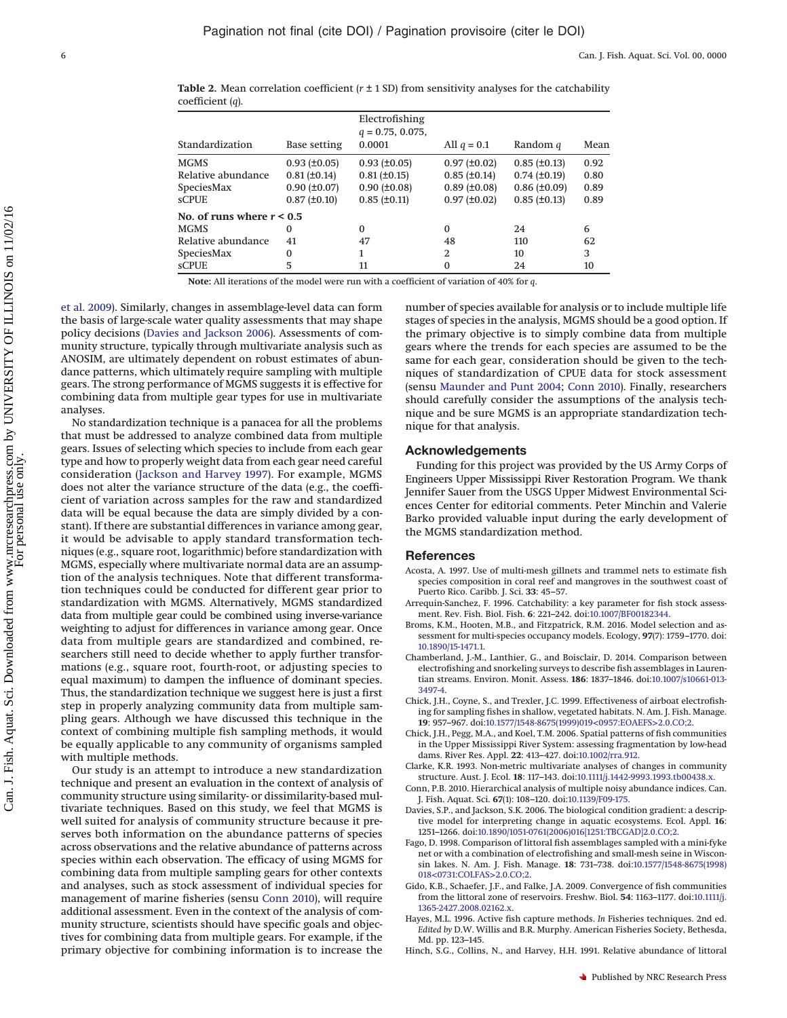<span id="page-5-11"></span>**Table 2.** Mean correlation coefficient  $(r \pm 1 \text{ SD})$  from sensitivity analyses for the catchability coefficient (*q*).

| Base setting                | Electrofishing<br>$q = 0.75, 0.075,$<br>0.0001 | All $q = 0.1$     | Random q              | Mean |
|-----------------------------|------------------------------------------------|-------------------|-----------------------|------|
| $0.93 (\pm 0.05)$           | $0.93$ ( $\pm 0.05$ )                          | $0.97 (\pm 0.02)$ | $0.85$ ( $\pm 0.13$ ) | 0.92 |
| $0.81 (\pm 0.14)$           | $0.81 (\pm 0.15)$                              | $0.85 (\pm 0.14)$ | $0.74$ ( $\pm 0.19$ ) | 0.80 |
| $0.90 (\pm 0.07)$           | $0.90 (\pm 0.08)$                              | $0.89$ (±0.08)    | $0.86 (\pm 0.09)$     | 0.89 |
| $0.87 (\pm 0.10)$           | $0.85$ ( $\pm 0.11$ )                          | $0.97 (\pm 0.02)$ | $0.85$ ( $\pm 0.13$ ) | 0.89 |
| No. of runs where $r < 0.5$ |                                                |                   |                       |      |
| $\Omega$                    | $\Omega$                                       | $\Omega$          | 24                    | 6    |
| 41                          | 47                                             | 48                | 110                   | 62   |
| $\Omega$                    | 1                                              | $\overline{2}$    | 10                    | 3    |
| 5                           | 11                                             | $\Omega$          | 24                    | 10   |
|                             |                                                |                   |                       |      |

**Note:** All iterations of the model were run with a coefficient of variation of 40% for *q*.

[et al. 2009\)](#page-5-12). Similarly, changes in assemblage-level data can form the basis of large-scale water quality assessments that may shape policy decisions [\(Davies and Jackson 2006\)](#page-5-13). Assessments of community structure, typically through multivariate analysis such as ANOSIM, are ultimately dependent on robust estimates of abundance patterns, which ultimately require sampling with multiple gears. The strong performance of MGMS suggests it is effective for combining data from multiple gear types for use in multivariate analyses.

No standardization technique is a panacea for all the problems that must be addressed to analyze combined data from multiple gears. Issues of selecting which species to include from each gear type and how to properly weight data from each gear need careful consideration [\(Jackson and Harvey 1997\)](#page-6-13). For example, MGMS does not alter the variance structure of the data (e.g., the coefficient of variation across samples for the raw and standardized data will be equal because the data are simply divided by a constant). If there are substantial differences in variance among gear, it would be advisable to apply standard transformation techniques (e.g., square root, logarithmic) before standardization with MGMS, especially where multivariate normal data are an assumption of the analysis techniques. Note that different transformation techniques could be conducted for different gear prior to standardization with MGMS. Alternatively, MGMS standardized data from multiple gear could be combined using inverse-variance weighting to adjust for differences in variance among gear. Once data from multiple gears are standardized and combined, researchers still need to decide whether to apply further transformations (e.g., square root, fourth-root, or adjusting species to equal maximum) to dampen the influence of dominant species. Thus, the standardization technique we suggest here is just a first step in properly analyzing community data from multiple sampling gears. Although we have discussed this technique in the context of combining multiple fish sampling methods, it would be equally applicable to any community of organisms sampled with multiple methods.

Our study is an attempt to introduce a new standardization technique and present an evaluation in the context of analysis of community structure using similarity- or dissimilarity-based multivariate techniques. Based on this study, we feel that MGMS is well suited for analysis of community structure because it preserves both information on the abundance patterns of species across observations and the relative abundance of patterns across species within each observation. The efficacy of using MGMS for combining data from multiple sampling gears for other contexts and analyses, such as stock assessment of individual species for management of marine fisheries (sensu [Conn 2010\)](#page-5-10), will require additional assessment. Even in the context of the analysis of community structure, scientists should have specific goals and objectives for combining data from multiple gears. For example, if the primary objective for combining information is to increase the

number of species available for analysis or to include multiple life stages of species in the analysis, MGMS should be a good option. If the primary objective is to simply combine data from multiple gears where the trends for each species are assumed to be the same for each gear, consideration should be given to the techniques of standardization of CPUE data for stock assessment (sensu [Maunder and Punt 2004;](#page-6-17) [Conn 2010\)](#page-5-10). Finally, researchers should carefully consider the assumptions of the analysis technique and be sure MGMS is an appropriate standardization technique for that analysis.

## **Acknowledgements**

Funding for this project was provided by the US Army Corps of Engineers Upper Mississippi River Restoration Program. We thank Jennifer Sauer from the USGS Upper Midwest Environmental Sciences Center for editorial comments. Peter Minchin and Valerie Barko provided valuable input during the early development of the MGMS standardization method.

#### **References**

- <span id="page-5-5"></span>Acosta, A. 1997. Use of multi-mesh gillnets and trammel nets to estimate fish species composition in coral reef and mangroves in the southwest coast of Puerto Rico. Caribb. J. Sci. **33**: 45–57.
- <span id="page-5-8"></span>Arrequin-Sanchez, F. 1996. Catchability: a key parameter for fish stock assessment. Rev. Fish. Biol. Fish. **6**: 221–242. doi[:10.1007/BF00182344.](http://dx.doi.org/10.1007/BF00182344)
- <span id="page-5-4"></span>Broms, K.M., Hooten, M.B., and Fitzpatrick, R.M. 2016. Model selection and assessment for multi-species occupancy models. Ecology, **97**(7): 1759–1770. doi: [10.1890/15-1471.1.](http://dx.doi.org/10.1890/15-1471.1)
- <span id="page-5-3"></span>Chamberland, J.-M., Lanthier, G., and Boisclair, D. 2014. Comparison between electrofishing and snorkeling surveys to describe fish assemblages in Laurentian streams. Environ. Monit. Assess. **186**: 1837–1846. doi[:10.1007/s10661-013-](http://dx.doi.org/10.1007/s10661-013-3497-4) [3497-4.](http://dx.doi.org/10.1007/s10661-013-3497-4)
- <span id="page-5-1"></span>Chick, J.H., Coyne, S., and Trexler, J.C. 1999. Effectiveness of airboat electrofishing for sampling fishes in shallow, vegetated habitats. N. Am. J. Fish. Manage. **19**: 957–967. doi[:10.1577/1548-8675\(1999\)019<0957:EOAEFS>2.0.CO;2.](http://dx.doi.org/10.1577/1548-8675(1999)019%3C0957%3AEOAEFS%3E2.0.CO;2)
- <span id="page-5-7"></span>Chick, J.H., Pegg, M.A., and Koel, T.M. 2006. Spatial patterns of fish communities in the Upper Mississippi River System: assessing fragmentation by low-head dams. River Res. Appl. **22**: 413–427. doi[:10.1002/rra.912.](http://dx.doi.org/10.1002/rra.912)
- <span id="page-5-6"></span>Clarke, K.R. 1993. Non-metric multivariate analyses of changes in community structure. Aust. J. Ecol. **18**: 117–143. doi[:10.1111/j.1442-9993.1993.tb00438.x.](http://dx.doi.org/10.1111/j.1442-9993.1993.tb00438.x)
- <span id="page-5-10"></span>Conn, P.B. 2010. Hierarchical analysis of multiple noisy abundance indices. Can. J. Fish. Aquat. Sci. **67**(1): 108–120. doi[:10.1139/F09-175.](http://dx.doi.org/10.1139/F09-175)
- <span id="page-5-13"></span>Davies, S.P., and Jackson, S.K. 2006. The biological condition gradient: a descriptive model for interpreting change in aquatic ecosystems. Ecol. Appl. **16**: 1251–1266. doi[:10.1890/1051-0761\(2006\)016\[1251:TBCGAD\]2.0.CO;2.](http://dx.doi.org/10.1890/1051-0761(2006)016%5B1251%3ATBCGAD%5D2.0.CO;2)
- <span id="page-5-2"></span>Fago, D. 1998. Comparison of littoral fish assemblages sampled with a mini-fyke net or with a combination of electrofishing and small-mesh seine in Wisconsin lakes. N. Am. J. Fish. Manage. **18**: 731–738. doi[:10.1577/1548-8675\(1998\)](http://dx.doi.org/10.1577/1548-8675(1998)018%3C0731%3ACOLFAS%3E2.0.CO;2) [018<0731:COLFAS>2.0.CO;2.](http://dx.doi.org/10.1577/1548-8675(1998)018%3C0731%3ACOLFAS%3E2.0.CO;2)
- <span id="page-5-12"></span>Gido, K.B., Schaefer, J.F., and Falke, J.A. 2009. Convergence of fish communities from the littoral zone of reservoirs. Freshw. Biol. **54**: 1163–1177. doi[:10.1111/j.](http://dx.doi.org/10.1111/j.1365-2427.2008.02162.x) [1365-2427.2008.02162.x.](http://dx.doi.org/10.1111/j.1365-2427.2008.02162.x)
- <span id="page-5-0"></span>Hayes, M.L. 1996. Active fish capture methods. *In* Fisheries techniques. 2nd ed. *Edited by* D.W. Willis and B.R. Murphy. American Fisheries Society, Bethesda, Md. pp. 123–145.
- <span id="page-5-9"></span>Hinch, S.G., Collins, N., and Harvey, H.H. 1991. Relative abundance of littoral